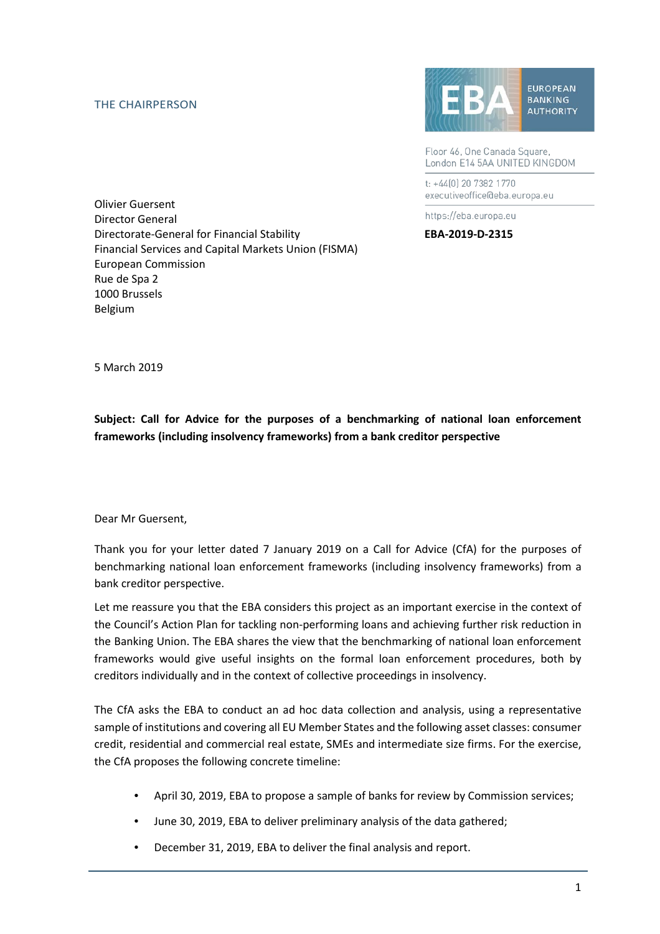## THE CHAIRPERSON



Floor 46, One Canada Square, London E14 5AA UNITED KINGDOM

t: +44(0) 20 7382 1770 executiveoffice@eba.europa.eu

https://eba.europa.eu

Olivier Guersent Director General Directorate-General for Financial Stability **EBA-2019-D-2315** Financial Services and Capital Markets Union (FISMA) European Commission Rue de Spa 2 1000 Brussels Belgium

5 March 2019

**Subject: Call for Advice for the purposes of a benchmarking of national loan enforcement frameworks (including insolvency frameworks) from a bank creditor perspective**

Dear Mr Guersent,

Thank you for your letter dated 7 January 2019 on a Call for Advice (CfA) for the purposes of benchmarking national loan enforcement frameworks (including insolvency frameworks) from a bank creditor perspective.

Let me reassure you that the EBA considers this project as an important exercise in the context of the Council's Action Plan for tackling non-performing loans and achieving further risk reduction in the Banking Union. The EBA shares the view that the benchmarking of national loan enforcement frameworks would give useful insights on the formal loan enforcement procedures, both by creditors individually and in the context of collective proceedings in insolvency.

The CfA asks the EBA to conduct an ad hoc data collection and analysis, using a representative sample of institutions and covering all EU Member States and the following asset classes: consumer credit, residential and commercial real estate, SMEs and intermediate size firms. For the exercise, the CfA proposes the following concrete timeline:

- April 30, 2019, EBA to propose a sample of banks for review by Commission services;
- June 30, 2019, EBA to deliver preliminary analysis of the data gathered;
- December 31, 2019, EBA to deliver the final analysis and report.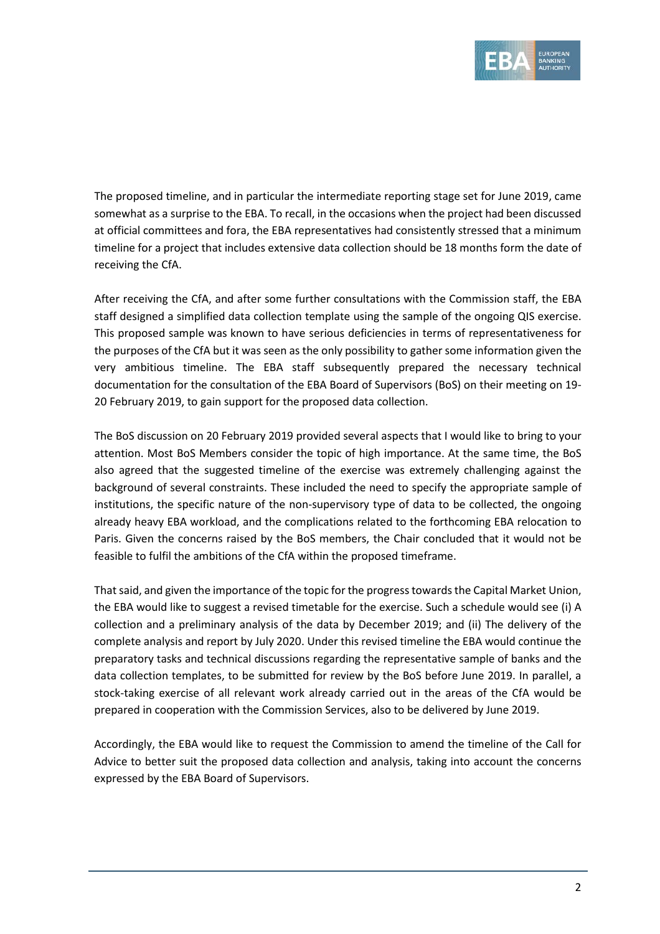

The proposed timeline, and in particular the intermediate reporting stage set for June 2019, came somewhat as a surprise to the EBA. To recall, in the occasions when the project had been discussed at official committees and fora, the EBA representatives had consistently stressed that a minimum timeline for a project that includes extensive data collection should be 18 months form the date of receiving the CfA.

After receiving the CfA, and after some further consultations with the Commission staff, the EBA staff designed a simplified data collection template using the sample of the ongoing QIS exercise. This proposed sample was known to have serious deficiencies in terms of representativeness for the purposes of the CfA but it was seen as the only possibility to gather some information given the very ambitious timeline. The EBA staff subsequently prepared the necessary technical documentation for the consultation of the EBA Board of Supervisors (BoS) on their meeting on 19- 20 February 2019, to gain support for the proposed data collection.

The BoS discussion on 20 February 2019 provided several aspects that I would like to bring to your attention. Most BoS Members consider the topic of high importance. At the same time, the BoS also agreed that the suggested timeline of the exercise was extremely challenging against the background of several constraints. These included the need to specify the appropriate sample of institutions, the specific nature of the non-supervisory type of data to be collected, the ongoing already heavy EBA workload, and the complications related to the forthcoming EBA relocation to Paris. Given the concerns raised by the BoS members, the Chair concluded that it would not be feasible to fulfil the ambitions of the CfA within the proposed timeframe.

That said, and given the importance of the topic for the progress towards the Capital Market Union, the EBA would like to suggest a revised timetable for the exercise. Such a schedule would see (i) A collection and a preliminary analysis of the data by December 2019; and (ii) The delivery of the complete analysis and report by July 2020. Under this revised timeline the EBA would continue the preparatory tasks and technical discussions regarding the representative sample of banks and the data collection templates, to be submitted for review by the BoS before June 2019. In parallel, a stock-taking exercise of all relevant work already carried out in the areas of the CfA would be prepared in cooperation with the Commission Services, also to be delivered by June 2019.

Accordingly, the EBA would like to request the Commission to amend the timeline of the Call for Advice to better suit the proposed data collection and analysis, taking into account the concerns expressed by the EBA Board of Supervisors.